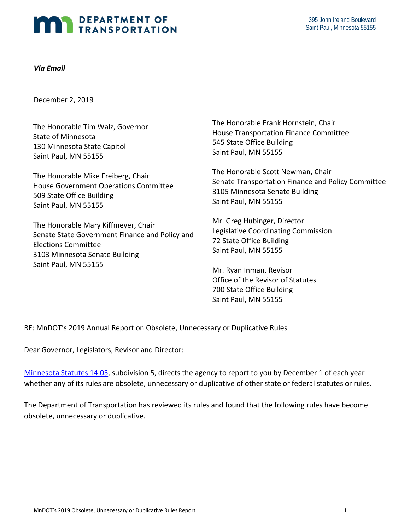# **MAN DEPARTMENT OF TRANSPORTATION**

#### *Via Email*

December 2, 2019

The Honorable Tim Walz, Governor State of Minnesota 130 Minnesota State Capitol Saint Paul, MN 55155

The Honorable Mike Freiberg, Chair House Government Operations Committee 509 State Office Building Saint Paul, MN 55155

The Honorable Mary Kiffmeyer, Chair Senate State Government Finance and Policy and Elections Committee 3103 Minnesota Senate Building Saint Paul, MN 55155

The Honorable Frank Hornstein, Chair House Transportation Finance Committee 545 State Office Building Saint Paul, MN 55155

The Honorable Scott Newman, Chair Senate Transportation Finance and Policy Committee 3105 Minnesota Senate Building Saint Paul, MN 55155

Mr. Greg Hubinger, Director Legislative Coordinating Commission 72 State Office Building Saint Paul, MN 55155

Mr. Ryan Inman, Revisor Office of the Revisor of Statutes 700 State Office Building Saint Paul, MN 55155

RE: MnDOT's 2019 Annual Report on Obsolete, Unnecessary or Duplicative Rules

Dear Governor, Legislators, Revisor and Director:

[Minnesota Statutes](https://www.revisor.mn.gov/statutes/?id=14.05) 14.0[5,](https://www.revisor.mn.gov/statutes/?id=14.05) subdivision 5, directs the agency to report to you by December 1 of each year whether any of its rules are obsolete, unnecessary or duplicative of other state or federal statutes or rules.

The Department of Transportation has reviewed its rules and found that the following rules have become obsolete, unnecessary or duplicative.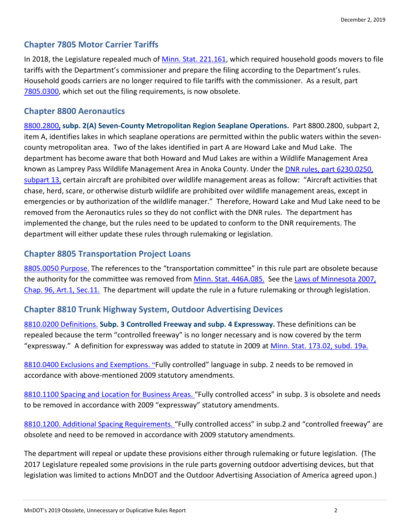# **Chapter 7805 Motor Carrier Tariffs**

In 2018, the Legislature repealed much of [Minn. Stat. 221.161,](https://www.revisor.mn.gov/statutes/cite/221.161) which required household goods movers to file tariffs with the Department's commissioner and prepare the filing according to the Department's rules. Household goods carriers are no longer required to file tariffs with the commissioner. As a result, part [7805.0300,](https://www.revisor.mn.gov/rules/7805.0300/?keyword_type=all&keyword=7805.0300) which set out the filing requirements, is now obsolete.

### **Chapter 8800 Aeronautics**

[8800.2800](https://www.revisor.mn.gov/rules/?id=8800.2800)**, subp. 2(A) Seven-County Metropolitan Region Seaplane Operations.** Part 8800.2800, subpart 2, item A, identifies lakes in which seaplane operations are permitted within the public waters within the sevencounty metropolitan area. Two of the lakes identified in part A are Howard Lake and Mud Lake. The department has become aware that both Howard and Mud Lakes are within a Wildlife Management Area known as Lamprey Pass Wildlife Management Area in Anoka County. Under the [DNR rules, part](https://www.revisor.mn.gov/rules/?id=6230.0250) [6230.0250,](https://www.revisor.mn.gov/rules/?id=6230.0250)  [subpart 13](https://www.revisor.mn.gov/rules/?id=6230.0250)[,](https://www.revisor.mn.gov/rules/?id=6230.0250) certain aircraft are prohibited over wildlife management areas as follow: "Aircraft activities that chase, herd, scare, or otherwise disturb wildlife are prohibited over wildlife management areas, except in emergencies or by authorization of the wildlife manager." Therefore, Howard Lake and Mud Lake need to be removed from the Aeronautics rules so they do not conflict with the DNR rules. The department has implemented the change, but the rules need to be updated to conform to the DNR requirements. The department will either update these rules through rulemaking or legislation.

#### **Chapter 8805 Transportation Project Loans**

[8805.0050 Purpose.](https://www.revisor.mn.gov/rules/?id=8805.0050) The references to the "transportation committee" in this rule part are obsolete because the authority for the committee was removed from [Minn. Stat. 446A.085](https://www.revisor.mn.gov/statutes/?id=446A.085)[.](https://www.revisor.mn.gov/statutes/?id=446A.085) See the Laws of Minnesota 2007, [Chap. 96, Art.1, Sec.11.](https://www.revisor.mn.gov/laws/?year=2007&type=0&doctype=Chapter&id=96https://www.revisor.mn.gov/laws/?year=2007&type=0&doctype=Chapter&id=96) The department will update the rule in a future rulemaking or through legislation.

## **Chapter 8810 Trunk Highway System, Outdoor Advertising Devices**

[8810.0200 Definitions.](https://www.revisor.mn.gov/rules/?id=8810.0200) **Subp. 3 Controlled Freeway and subp. 4 Expressway.** These definitions can be repealed because the term "controlled freeway" is no longer necessary and is now covered by the term "expressway." A definition for expressway was added to statute in 2009 at [Minn. Stat.](https://www.revisor.mn.gov/statutes/?id=173.02) [173.02, subd. 19a.](https://www.revisor.mn.gov/statutes/?id=173.02)

[8810.0400 Exclusions and Exemptions.](https://www.revisor.mn.gov/rules/?id=8810.0400) ["](https://www.revisor.mn.gov/rules/?id=8810.0400)Fully controlled" language in subp. 2 needs to be removed in accordance with above-mentioned 2009 statutory amendments.

[8810.1100 Spacing and Location for Business Areas.](https://www.revisor.mn.gov/rules/?id=8810.1100) ["](https://www.revisor.mn.gov/rules/?id=8810.1100)Fully controlled access" in subp. 3 is obsolete and needs to be removed in accordance with 2009 "expressway" statutory amendments.

[8810.1200. Additional Spacing Requirements.](https://www.revisor.mn.gov/rules/?id=8810.1200) "Fully controlled access" in subp.2 and "controlled freeway" are obsolete and need to be removed in accordance with 2009 statutory amendments.

The department will repeal or update these provisions either through rulemaking or future legislation. (The 2017 Legislature repealed some provisions in the rule parts governing outdoor advertising devices, but that legislation was limited to actions MnDOT and the Outdoor Advertising Association of America agreed upon.)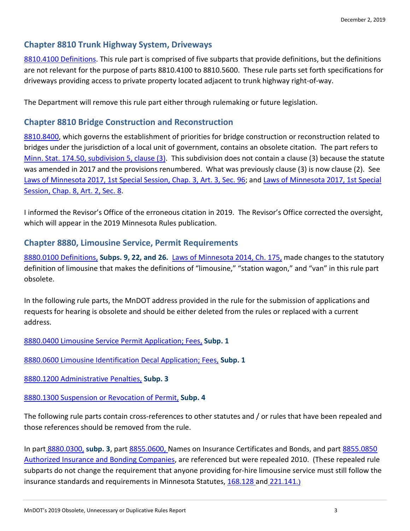### **Chapter 8810 Trunk Highway System, Driveways**

[8810.4100 Definitions.](https://www.revisor.mn.gov/rules/8810.4100/) This rule part is comprised of five subparts that provide definitions, but the definitions are not relevant for the purpose of parts 8810.4100 to 8810.5600. These rule parts set forth specifications for driveways providing access to private property located adjacent to trunk highway right-of-way.

The Department will remove this rule part either through rulemaking or future legislation.

#### **Chapter 8810 Bridge Construction and Reconstruction**

[8810.8400,](https://www.revisor.mn.gov/rules/8810.8400/) which governs the establishment of priorities for bridge construction or reconstruction related to bridges under the jurisdiction of a local unit of government, contains an obsolete citation. The part refers to Minn. Stat. [174.50, subdivision 5, clause \(3\).](https://www.revisor.mn.gov/statutes/cite/174.50) This subdivision does not contain a clause (3) because the statute was amended in 2017 and the provisions renumbered. What was previously clause (3) is now clause (2). See [Laws of Minnesota 2017, 1st Special Session, Chap. 3, Art. 3, Sec. 96;](https://www.revisor.mn.gov/laws/2017/1/3/) and [Laws of Minnesota 2017, 1st Special](https://www.revisor.mn.gov/laws/2017/1/8/)  [Session, Chap. 8, Art. 2, Sec. 8.](https://www.revisor.mn.gov/laws/2017/1/8/)

I informed the Revisor's Office of the erroneous citation in 2019. The Revisor's Office corrected the oversight, which will appear in the 2019 Minnesota Rules publication.

#### **Chapter 8880, Limousine Service, Permit Requirements**

[8880.0100 Definitions,](https://www.revisor.mn.gov/rules/?id=8880.0100) **Subps. 9, 22, and 26.** [Laws of Minnesota](https://www.revisor.mn.gov/laws/?year=2014&type=0&doctype=Chapter&id=175) 2014, Ch. 17[5,](https://www.revisor.mn.gov/laws/?year=2014&type=0&doctype=Chapter&id=175) made changes to the statutory definition of limousine that makes the definitions of "limousine," "station wagon," and "van" in this rule part obsolete.

In the following rule parts, the MnDOT address provided in the rule for the submission of applications and requests for hearing is obsolete and should be either deleted from the rules or replaced with a current address.

[8880.0400 Limousine Service Permit Application; Fees,](https://www.revisor.mn.gov/rules/?id=8880.0400) **Subp. 1** 

[8880.0600 Limousine Identification Decal Application; Fees,](https://www.revisor.mn.gov/rules/?id=8880.0600) **Subp. 1** 

[8880.1200 Administrative Penalties,](https://www.revisor.mn.gov/rules/?id=8880.1200) **Subp. 3**

[8880.1300 Suspension or Revocation of Permit,](https://www.revisor.mn.gov/rules/?id=8880.1300) **Subp. 4**

The following rule parts contain cross-references to other statutes and / or rules that have been repealed and those references should be removed from the rule.

In par[t](https://www.revisor.mn.gov/rules/?id=8880.0300) [8880.0300,](https://www.revisor.mn.gov/rules/?id=8880.0300) **subp. 3**, part [8855.0600,](https://www.revisor.mn.gov/rules/?id=8855.0600) Names on Insurance Certificates and Bonds, and par[t 8855.0850](https://www.revisor.mn.gov/rules/?id=8855.0850)  [Authorized Insurance and Bonding Companies,](https://www.revisor.mn.gov/rules/?id=8855.0850) are referenced but were repealed 2010. (These repealed rule subparts do not change the requirement that anyone providing for-hire limousine service must still follow the insurance standards and requirements in Minnesota Statutes, [168.128](https://www.revisor.mn.gov/statutes/?id=168.128) an[d](https://www.revisor.mn.gov/statutes/?id=221.141) [221.141](https://www.revisor.mn.gov/statutes/?id=221.141)[.\)](https://www.revisor.mn.gov/statutes/?id=221.141)